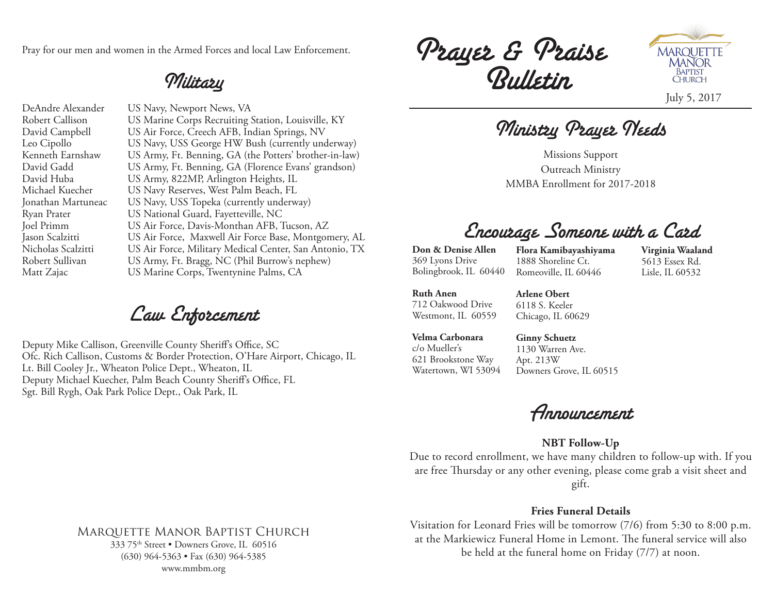Pray for our men and women in the Armed Forces and local Law Enforcement.

## Military

DeAndre Alexander US Navy, Newport News, VA Robert Callison US Marine Corps Recruiting Station, Louisville, KY David Campbell US Air Force, Creech AFB, Indian Springs, NV Leo Cipollo US Navy, USS George HW Bush (currently underway) Kenneth Earnshaw US Army, Ft. Benning, GA (the Potters' brother-in-law) David Gadd US Army, Ft. Benning, GA (Florence Evans' grandson) David Huba US Army, 822MP, Arlington Heights, IL Michael Kuecher US Navy Reserves, West Palm Beach, FL Jonathan Martuneac US Navy, USS Topeka (currently underway) Ryan Prater US National Guard, Fayetteville, NC Joel Primm US Air Force, Davis-Monthan AFB, Tucson, AZ Jason Scalzitti US Air Force, Maxwell Air Force Base, Montgomery, AL Nicholas Scalzitti US Air Force, Military Medical Center, San Antonio, TX Robert Sullivan US Army, Ft. Bragg, NC (Phil Burrow's nephew) Matt Zajac US Marine Corps, Twentynine Palms, CA

Law Enforcement

Deputy Mike Callison, Greenville County Sheriff's Office, SC Ofc. Rich Callison, Customs & Border Protection, O'Hare Airport, Chicago, IL Lt. Bill Cooley Jr., Wheaton Police Dept., Wheaton, IL Deputy Michael Kuecher, Palm Beach County Sheriff's Office, FL Sgt. Bill Rygh, Oak Park Police Dept., Oak Park, IL

Prayer & Praise Bulletin



Ministry Prayer Needs

Missions Support Outreach Ministry MMBA Enrollment for 2017-2018

# Encourage Someone with a Card

**Don & Denise Allen** 369 Lyons Drive Bolingbrook, IL 60440

**Flora Kamibayashiyama** 1888 Shoreline Ct. Romeoville, IL 60446

**Virginia Waaland** 5613 Essex Rd. Lisle, IL 60532

**Ruth Anen** 712 Oakwood Drive Westmont, IL 60559 **Arlene Obert** 6118 S. Keeler Chicago, IL 60629

**Velma Carbonara** c/o Mueller's 621 Brookstone Way Watertown, WI 53094

**Ginny Schuetz** 1130 Warren Ave. Apt. 213W Downers Grove, IL 60515

Announcement

### **NBT Follow-Up**

Due to record enrollment, we have many children to follow-up with. If you are free Thursday or any other evening, please come grab a visit sheet and gift.

### **Fries Funeral Details**

Visitation for Leonard Fries will be tomorrow (7/6) from 5:30 to 8:00 p.m. at the Markiewicz Funeral Home in Lemont. The funeral service will also be held at the funeral home on Friday (7/7) at noon.

## Marquette Manor Baptist Church

333 75th Street • Downers Grove, IL 60516 (630) 964-5363 • Fax (630) 964-5385 www.mmbm.org